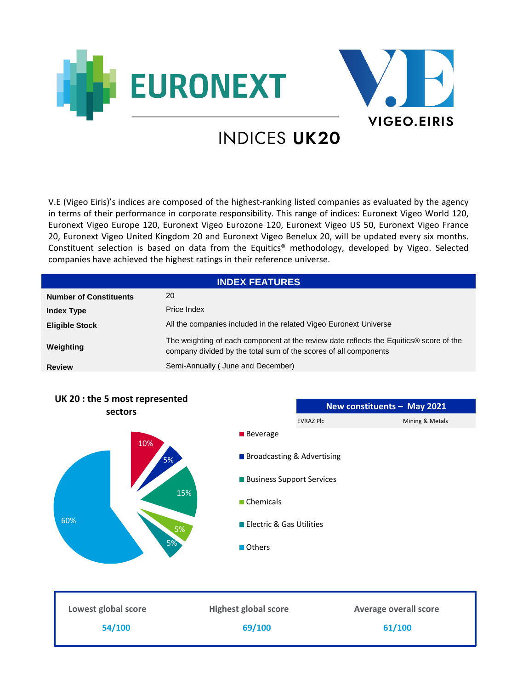



# **INDICES UK20**

V.E (Vigeo Eiris)'s indices are composed of the highest-ranking listed companies as evaluated by the agency in terms of their performance in corporate responsibility. This range of indices: Euronext Vigeo World 120, Euronext Vigeo Europe 120, Euronext Vigeo Eurozone 120, Euronext Vigeo US 50, Euronext Vigeo France 20, Euronext Vigeo United Kingdom 20 and Euronext Vigeo Benelux 20, will be updated every six months. Constituent selection is based on data from the Equitics® methodology, developed by Vigeo. Selected companies have achieved the highest ratings in their reference universe.

| <b>INDEX FEATURES</b>         |                                                                                                                                                            |  |
|-------------------------------|------------------------------------------------------------------------------------------------------------------------------------------------------------|--|
| <b>Number of Constituents</b> | 20                                                                                                                                                         |  |
| <b>Index Type</b>             | Price Index                                                                                                                                                |  |
| <b>Eligible Stock</b>         | All the companies included in the related Vigeo Euronext Universe                                                                                          |  |
| Weighting                     | The weighting of each component at the review date reflects the Equitics® score of the<br>company divided by the total sum of the scores of all components |  |
| <b>Review</b>                 | Semi-Annually (June and December)                                                                                                                          |  |